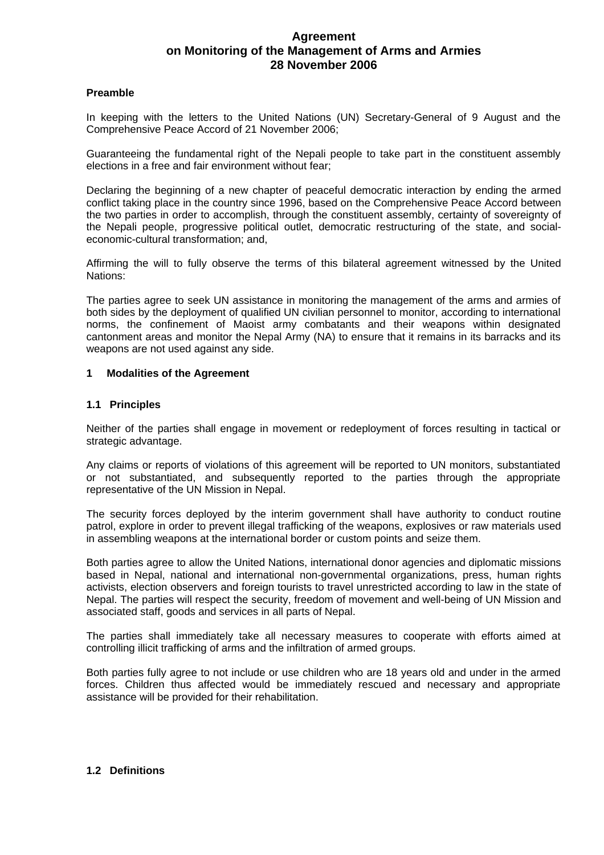# **Agreement on Monitoring of the Management of Arms and Armies 28 November 2006**

#### **Preamble**

In keeping with the letters to the United Nations (UN) Secretary-General of 9 August and the Comprehensive Peace Accord of 21 November 2006;

Guaranteeing the fundamental right of the Nepali people to take part in the constituent assembly elections in a free and fair environment without fear;

Declaring the beginning of a new chapter of peaceful democratic interaction by ending the armed conflict taking place in the country since 1996, based on the Comprehensive Peace Accord between the two parties in order to accomplish, through the constituent assembly, certainty of sovereignty of the Nepali people, progressive political outlet, democratic restructuring of the state, and socialeconomic-cultural transformation; and,

Affirming the will to fully observe the terms of this bilateral agreement witnessed by the United Nations:

The parties agree to seek UN assistance in monitoring the management of the arms and armies of both sides by the deployment of qualified UN civilian personnel to monitor, according to international norms, the confinement of Maoist army combatants and their weapons within designated cantonment areas and monitor the Nepal Army (NA) to ensure that it remains in its barracks and its weapons are not used against any side.

#### **1 Modalities of the Agreement**

#### **1.1 Principles**

Neither of the parties shall engage in movement or redeployment of forces resulting in tactical or strategic advantage.

Any claims or reports of violations of this agreement will be reported to UN monitors, substantiated or not substantiated, and subsequently reported to the parties through the appropriate representative of the UN Mission in Nepal.

The security forces deployed by the interim government shall have authority to conduct routine patrol, explore in order to prevent illegal trafficking of the weapons, explosives or raw materials used in assembling weapons at the international border or custom points and seize them.

Both parties agree to allow the United Nations, international donor agencies and diplomatic missions based in Nepal, national and international non-governmental organizations, press, human rights activists, election observers and foreign tourists to travel unrestricted according to law in the state of Nepal. The parties will respect the security, freedom of movement and well-being of UN Mission and associated staff, goods and services in all parts of Nepal.

The parties shall immediately take all necessary measures to cooperate with efforts aimed at controlling illicit trafficking of arms and the infiltration of armed groups.

Both parties fully agree to not include or use children who are 18 years old and under in the armed forces. Children thus affected would be immediately rescued and necessary and appropriate assistance will be provided for their rehabilitation.

#### **1.2 Definitions**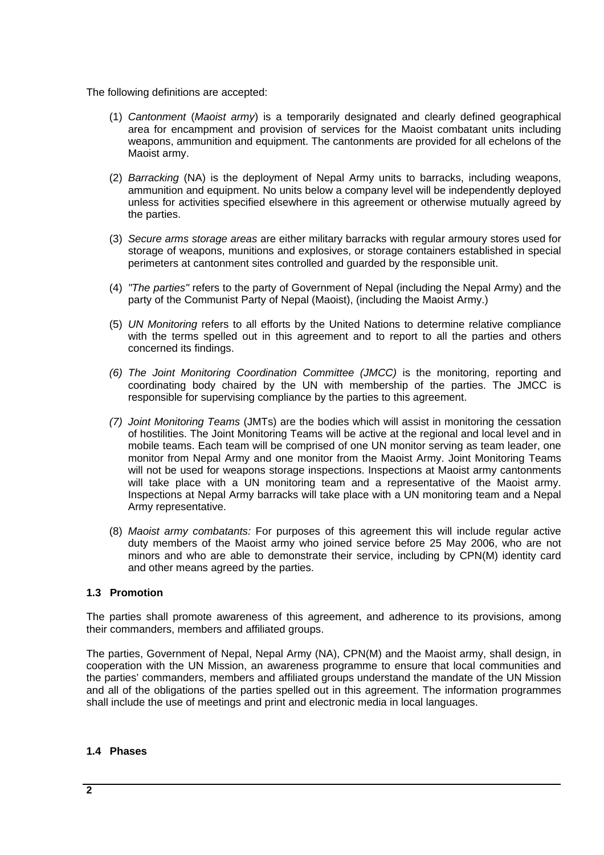The following definitions are accepted:

- (1) *Cantonment* (*Maoist army*) is a temporarily designated and clearly defined geographical area for encampment and provision of services for the Maoist combatant units including weapons, ammunition and equipment. The cantonments are provided for all echelons of the Maoist army.
- (2) *Barracking* (NA) is the deployment of Nepal Army units to barracks, including weapons, ammunition and equipment. No units below a company level will be independently deployed unless for activities specified elsewhere in this agreement or otherwise mutually agreed by the parties.
- (3) *Secure arms storage areas* are either military barracks with regular armoury stores used for storage of weapons, munitions and explosives, or storage containers established in special perimeters at cantonment sites controlled and guarded by the responsible unit.
- (4) *"The parties"* refers to the party of Government of Nepal (including the Nepal Army) and the party of the Communist Party of Nepal (Maoist), (including the Maoist Army.)
- (5) *UN Monitoring* refers to all efforts by the United Nations to determine relative compliance with the terms spelled out in this agreement and to report to all the parties and others concerned its findings.
- *(6) The Joint Monitoring Coordination Committee (JMCC)* is the monitoring, reporting and coordinating body chaired by the UN with membership of the parties. The JMCC is responsible for supervising compliance by the parties to this agreement.
- *(7) Joint Monitoring Teams* (JMTs) are the bodies which will assist in monitoring the cessation of hostilities. The Joint Monitoring Teams will be active at the regional and local level and in mobile teams. Each team will be comprised of one UN monitor serving as team leader, one monitor from Nepal Army and one monitor from the Maoist Army. Joint Monitoring Teams will not be used for weapons storage inspections. Inspections at Maoist army cantonments will take place with a UN monitoring team and a representative of the Maoist army. Inspections at Nepal Army barracks will take place with a UN monitoring team and a Nepal Army representative.
- (8) *Maoist army combatants:* For purposes of this agreement this will include regular active duty members of the Maoist army who joined service before 25 May 2006, who are not minors and who are able to demonstrate their service, including by CPN(M) identity card and other means agreed by the parties.

### **1.3 Promotion**

The parties shall promote awareness of this agreement, and adherence to its provisions, among their commanders, members and affiliated groups.

The parties, Government of Nepal, Nepal Army (NA), CPN(M) and the Maoist army, shall design, in cooperation with the UN Mission, an awareness programme to ensure that local communities and the parties' commanders, members and affiliated groups understand the mandate of the UN Mission and all of the obligations of the parties spelled out in this agreement. The information programmes shall include the use of meetings and print and electronic media in local languages.

### **1.4 Phases**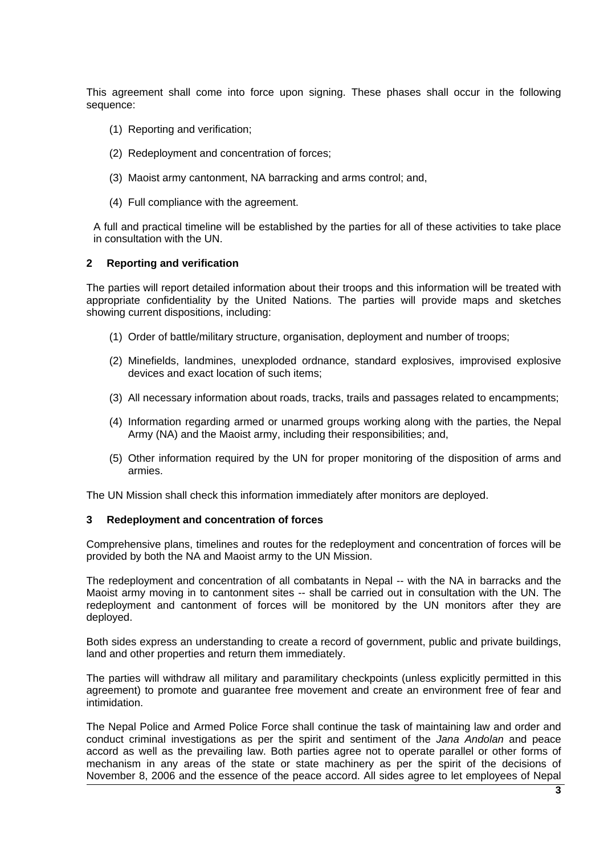This agreement shall come into force upon signing. These phases shall occur in the following sequence:

- (1) Reporting and verification;
- (2) Redeployment and concentration of forces;
- (3) Maoist army cantonment, NA barracking and arms control; and,
- (4) Full compliance with the agreement.

A full and practical timeline will be established by the parties for all of these activities to take place in consultation with the UN.

## **2 Reporting and verification**

The parties will report detailed information about their troops and this information will be treated with appropriate confidentiality by the United Nations. The parties will provide maps and sketches showing current dispositions, including:

- (1) Order of battle/military structure, organisation, deployment and number of troops;
- (2) Minefields, landmines, unexploded ordnance, standard explosives, improvised explosive devices and exact location of such items;
- (3) All necessary information about roads, tracks, trails and passages related to encampments;
- (4) Information regarding armed or unarmed groups working along with the parties, the Nepal Army (NA) and the Maoist army, including their responsibilities; and,
- (5) Other information required by the UN for proper monitoring of the disposition of arms and armies.

The UN Mission shall check this information immediately after monitors are deployed.

### **3 Redeployment and concentration of forces**

Comprehensive plans, timelines and routes for the redeployment and concentration of forces will be provided by both the NA and Maoist army to the UN Mission.

The redeployment and concentration of all combatants in Nepal -- with the NA in barracks and the Maoist army moving in to cantonment sites -- shall be carried out in consultation with the UN. The redeployment and cantonment of forces will be monitored by the UN monitors after they are deployed.

Both sides express an understanding to create a record of government, public and private buildings, land and other properties and return them immediately.

The parties will withdraw all military and paramilitary checkpoints (unless explicitly permitted in this agreement) to promote and guarantee free movement and create an environment free of fear and intimidation.

The Nepal Police and Armed Police Force shall continue the task of maintaining law and order and conduct criminal investigations as per the spirit and sentiment of the *Jana Andolan* and peace accord as well as the prevailing law. Both parties agree not to operate parallel or other forms of mechanism in any areas of the state or state machinery as per the spirit of the decisions of November 8, 2006 and the essence of the peace accord. All sides agree to let employees of Nepal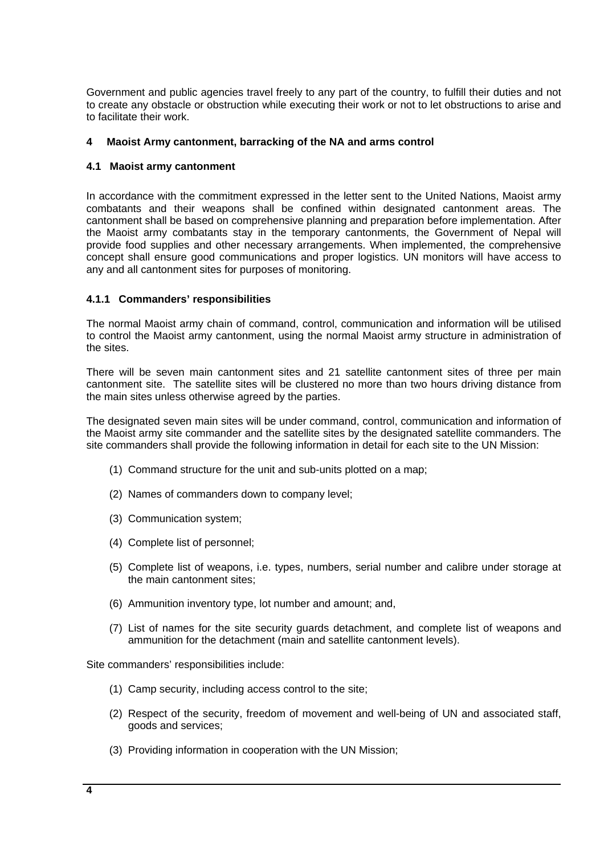Government and public agencies travel freely to any part of the country, to fulfill their duties and not to create any obstacle or obstruction while executing their work or not to let obstructions to arise and to facilitate their work.

## **4 Maoist Army cantonment, barracking of the NA and arms control**

### **4.1 Maoist army cantonment**

In accordance with the commitment expressed in the letter sent to the United Nations, Maoist army combatants and their weapons shall be confined within designated cantonment areas. The cantonment shall be based on comprehensive planning and preparation before implementation. After the Maoist army combatants stay in the temporary cantonments, the Government of Nepal will provide food supplies and other necessary arrangements. When implemented, the comprehensive concept shall ensure good communications and proper logistics. UN monitors will have access to any and all cantonment sites for purposes of monitoring.

### **4.1.1 Commanders' responsibilities**

The normal Maoist army chain of command, control, communication and information will be utilised to control the Maoist army cantonment, using the normal Maoist army structure in administration of the sites.

There will be seven main cantonment sites and 21 satellite cantonment sites of three per main cantonment site. The satellite sites will be clustered no more than two hours driving distance from the main sites unless otherwise agreed by the parties.

The designated seven main sites will be under command, control, communication and information of the Maoist army site commander and the satellite sites by the designated satellite commanders. The site commanders shall provide the following information in detail for each site to the UN Mission:

- (1) Command structure for the unit and sub-units plotted on a map;
- (2) Names of commanders down to company level;
- (3) Communication system;
- (4) Complete list of personnel;
- (5) Complete list of weapons, i.e. types, numbers, serial number and calibre under storage at the main cantonment sites;
- (6) Ammunition inventory type, lot number and amount; and,
- (7) List of names for the site security guards detachment, and complete list of weapons and ammunition for the detachment (main and satellite cantonment levels).

Site commanders' responsibilities include:

- (1) Camp security, including access control to the site;
- (2) Respect of the security, freedom of movement and well-being of UN and associated staff, goods and services;
- (3) Providing information in cooperation with the UN Mission;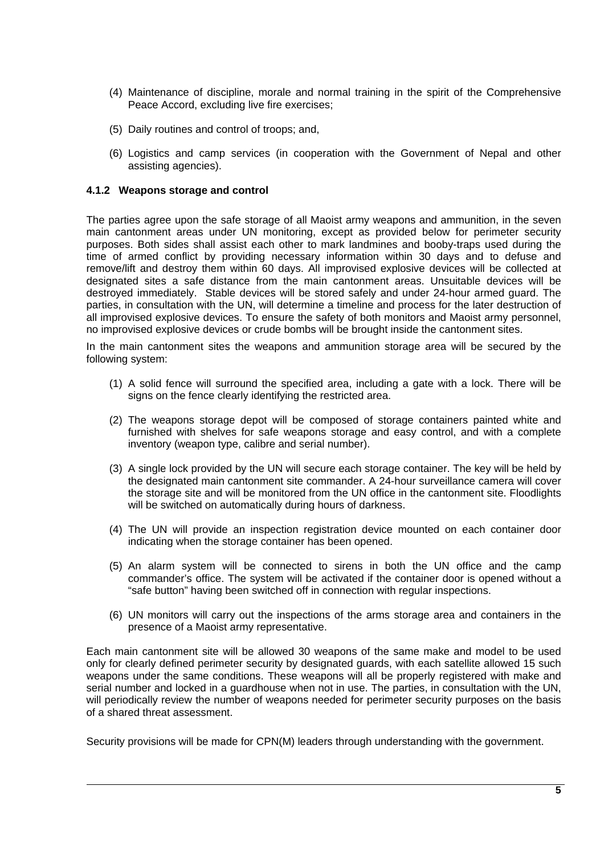- (4) Maintenance of discipline, morale and normal training in the spirit of the Comprehensive Peace Accord, excluding live fire exercises;
- (5) Daily routines and control of troops; and,
- (6) Logistics and camp services (in cooperation with the Government of Nepal and other assisting agencies).

### **4.1.2 Weapons storage and control**

The parties agree upon the safe storage of all Maoist army weapons and ammunition, in the seven main cantonment areas under UN monitoring, except as provided below for perimeter security purposes. Both sides shall assist each other to mark landmines and booby-traps used during the time of armed conflict by providing necessary information within 30 days and to defuse and remove/lift and destroy them within 60 days. All improvised explosive devices will be collected at designated sites a safe distance from the main cantonment areas. Unsuitable devices will be destroyed immediately. Stable devices will be stored safely and under 24-hour armed guard. The parties, in consultation with the UN, will determine a timeline and process for the later destruction of all improvised explosive devices. To ensure the safety of both monitors and Maoist army personnel, no improvised explosive devices or crude bombs will be brought inside the cantonment sites.

In the main cantonment sites the weapons and ammunition storage area will be secured by the following system:

- (1) A solid fence will surround the specified area, including a gate with a lock. There will be signs on the fence clearly identifying the restricted area.
- (2) The weapons storage depot will be composed of storage containers painted white and furnished with shelves for safe weapons storage and easy control, and with a complete inventory (weapon type, calibre and serial number).
- (3) A single lock provided by the UN will secure each storage container. The key will be held by the designated main cantonment site commander. A 24-hour surveillance camera will cover the storage site and will be monitored from the UN office in the cantonment site. Floodlights will be switched on automatically during hours of darkness.
- (4) The UN will provide an inspection registration device mounted on each container door indicating when the storage container has been opened.
- (5) An alarm system will be connected to sirens in both the UN office and the camp commander's office. The system will be activated if the container door is opened without a "safe button" having been switched off in connection with regular inspections.
- (6) UN monitors will carry out the inspections of the arms storage area and containers in the presence of a Maoist army representative.

Each main cantonment site will be allowed 30 weapons of the same make and model to be used only for clearly defined perimeter security by designated guards, with each satellite allowed 15 such weapons under the same conditions. These weapons will all be properly registered with make and serial number and locked in a guardhouse when not in use. The parties, in consultation with the UN, will periodically review the number of weapons needed for perimeter security purposes on the basis of a shared threat assessment.

Security provisions will be made for CPN(M) leaders through understanding with the government.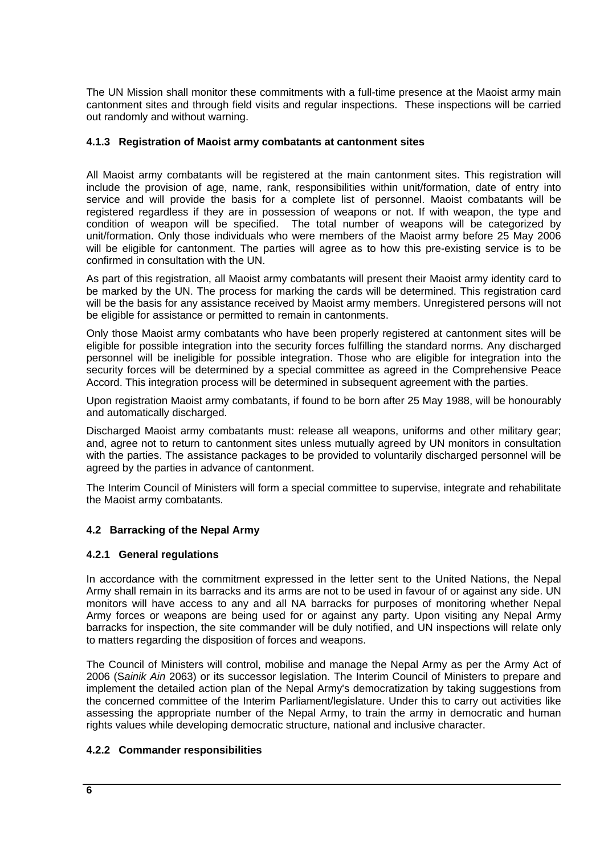The UN Mission shall monitor these commitments with a full-time presence at the Maoist army main cantonment sites and through field visits and regular inspections. These inspections will be carried out randomly and without warning.

# **4.1.3 Registration of Maoist army combatants at cantonment sites**

All Maoist army combatants will be registered at the main cantonment sites. This registration will include the provision of age, name, rank, responsibilities within unit/formation, date of entry into service and will provide the basis for a complete list of personnel. Maoist combatants will be registered regardless if they are in possession of weapons or not. If with weapon, the type and condition of weapon will be specified. The total number of weapons will be categorized by unit/formation. Only those individuals who were members of the Maoist army before 25 May 2006 will be eligible for cantonment. The parties will agree as to how this pre-existing service is to be confirmed in consultation with the UN.

As part of this registration, all Maoist army combatants will present their Maoist army identity card to be marked by the UN. The process for marking the cards will be determined. This registration card will be the basis for any assistance received by Maoist army members. Unregistered persons will not be eligible for assistance or permitted to remain in cantonments.

Only those Maoist army combatants who have been properly registered at cantonment sites will be eligible for possible integration into the security forces fulfilling the standard norms. Any discharged personnel will be ineligible for possible integration. Those who are eligible for integration into the security forces will be determined by a special committee as agreed in the Comprehensive Peace Accord. This integration process will be determined in subsequent agreement with the parties.

Upon registration Maoist army combatants, if found to be born after 25 May 1988, will be honourably and automatically discharged.

Discharged Maoist army combatants must: release all weapons, uniforms and other military gear; and, agree not to return to cantonment sites unless mutually agreed by UN monitors in consultation with the parties. The assistance packages to be provided to voluntarily discharged personnel will be agreed by the parties in advance of cantonment.

The Interim Council of Ministers will form a special committee to supervise, integrate and rehabilitate the Maoist army combatants.

# **4.2 Barracking of the Nepal Army**

# **4.2.1 General regulations**

In accordance with the commitment expressed in the letter sent to the United Nations, the Nepal Army shall remain in its barracks and its arms are not to be used in favour of or against any side. UN monitors will have access to any and all NA barracks for purposes of monitoring whether Nepal Army forces or weapons are being used for or against any party. Upon visiting any Nepal Army barracks for inspection, the site commander will be duly notified, and UN inspections will relate only to matters regarding the disposition of forces and weapons.

The Council of Ministers will control, mobilise and manage the Nepal Army as per the Army Act of 2006 (S*ainik Ain* 2063) or its successor legislation. The Interim Council of Ministers to prepare and implement the detailed action plan of the Nepal Army's democratization by taking suggestions from the concerned committee of the Interim Parliament/legislature. Under this to carry out activities like assessing the appropriate number of the Nepal Army, to train the army in democratic and human rights values while developing democratic structure, national and inclusive character.

# **4.2.2 Commander responsibilities**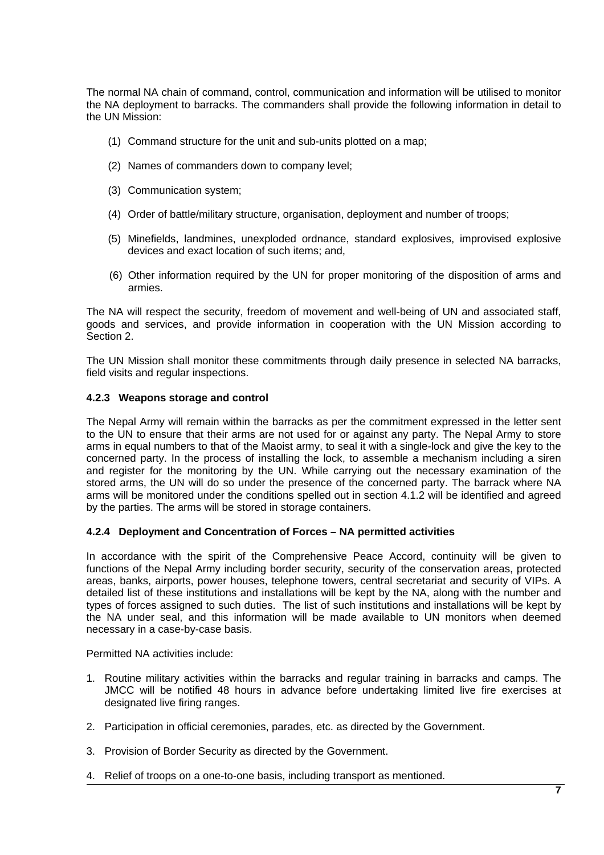The normal NA chain of command, control, communication and information will be utilised to monitor the NA deployment to barracks. The commanders shall provide the following information in detail to the UN Mission:

- (1) Command structure for the unit and sub-units plotted on a map;
- (2) Names of commanders down to company level;
- (3) Communication system;
- (4) Order of battle/military structure, organisation, deployment and number of troops;
- (5) Minefields, landmines, unexploded ordnance, standard explosives, improvised explosive devices and exact location of such items; and,
- (6) Other information required by the UN for proper monitoring of the disposition of arms and armies.

The NA will respect the security, freedom of movement and well-being of UN and associated staff, goods and services, and provide information in cooperation with the UN Mission according to Section 2.

The UN Mission shall monitor these commitments through daily presence in selected NA barracks, field visits and regular inspections.

## **4.2.3 Weapons storage and control**

The Nepal Army will remain within the barracks as per the commitment expressed in the letter sent to the UN to ensure that their arms are not used for or against any party. The Nepal Army to store arms in equal numbers to that of the Maoist army, to seal it with a single-lock and give the key to the concerned party. In the process of installing the lock, to assemble a mechanism including a siren and register for the monitoring by the UN. While carrying out the necessary examination of the stored arms, the UN will do so under the presence of the concerned party. The barrack where NA arms will be monitored under the conditions spelled out in section 4.1.2 will be identified and agreed by the parties. The arms will be stored in storage containers.

### **4.2.4 Deployment and Concentration of Forces – NA permitted activities**

In accordance with the spirit of the Comprehensive Peace Accord, continuity will be given to functions of the Nepal Army including border security, security of the conservation areas, protected areas, banks, airports, power houses, telephone towers, central secretariat and security of VIPs. A detailed list of these institutions and installations will be kept by the NA, along with the number and types of forces assigned to such duties. The list of such institutions and installations will be kept by the NA under seal, and this information will be made available to UN monitors when deemed necessary in a case-by-case basis.

Permitted NA activities include:

- 1. Routine military activities within the barracks and regular training in barracks and camps. The JMCC will be notified 48 hours in advance before undertaking limited live fire exercises at designated live firing ranges.
- 2. Participation in official ceremonies, parades, etc. as directed by the Government.
- 3. Provision of Border Security as directed by the Government.
- 4. Relief of troops on a one-to-one basis, including transport as mentioned.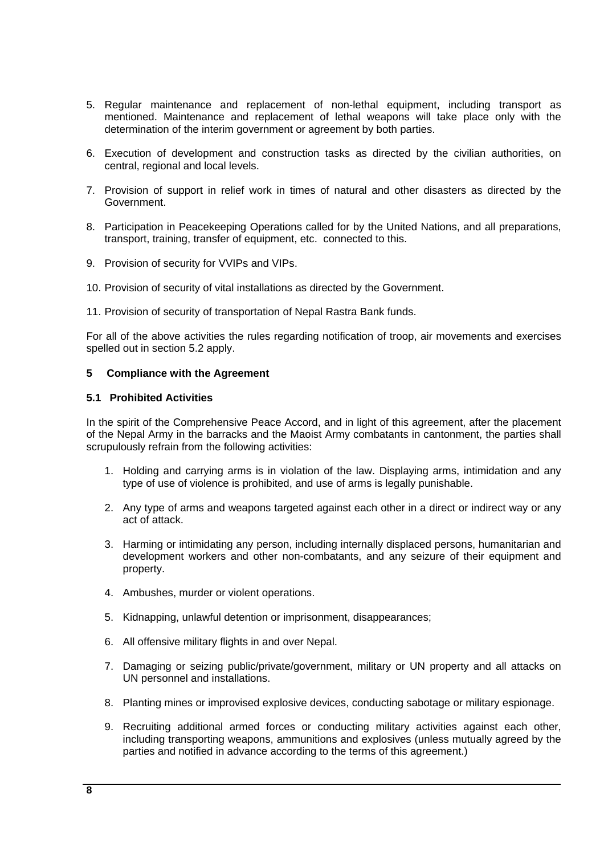- 5. Regular maintenance and replacement of non-lethal equipment, including transport as mentioned. Maintenance and replacement of lethal weapons will take place only with the determination of the interim government or agreement by both parties.
- 6. Execution of development and construction tasks as directed by the civilian authorities, on central, regional and local levels.
- 7. Provision of support in relief work in times of natural and other disasters as directed by the Government.
- 8. Participation in Peacekeeping Operations called for by the United Nations, and all preparations, transport, training, transfer of equipment, etc. connected to this.
- 9. Provision of security for VVIPs and VIPs.
- 10. Provision of security of vital installations as directed by the Government.
- 11. Provision of security of transportation of Nepal Rastra Bank funds.

For all of the above activities the rules regarding notification of troop, air movements and exercises spelled out in section 5.2 apply.

### **5 Compliance with the Agreement**

#### **5.1 Prohibited Activities**

In the spirit of the Comprehensive Peace Accord, and in light of this agreement, after the placement of the Nepal Army in the barracks and the Maoist Army combatants in cantonment, the parties shall scrupulously refrain from the following activities:

- 1. Holding and carrying arms is in violation of the law. Displaying arms, intimidation and any type of use of violence is prohibited, and use of arms is legally punishable.
- 2. Any type of arms and weapons targeted against each other in a direct or indirect way or any act of attack.
- 3. Harming or intimidating any person, including internally displaced persons, humanitarian and development workers and other non-combatants, and any seizure of their equipment and property.
- 4. Ambushes, murder or violent operations.
- 5. Kidnapping, unlawful detention or imprisonment, disappearances;
- 6. All offensive military flights in and over Nepal.
- 7. Damaging or seizing public/private/government, military or UN property and all attacks on UN personnel and installations.
- 8. Planting mines or improvised explosive devices, conducting sabotage or military espionage.
- 9. Recruiting additional armed forces or conducting military activities against each other, including transporting weapons, ammunitions and explosives (unless mutually agreed by the parties and notified in advance according to the terms of this agreement.)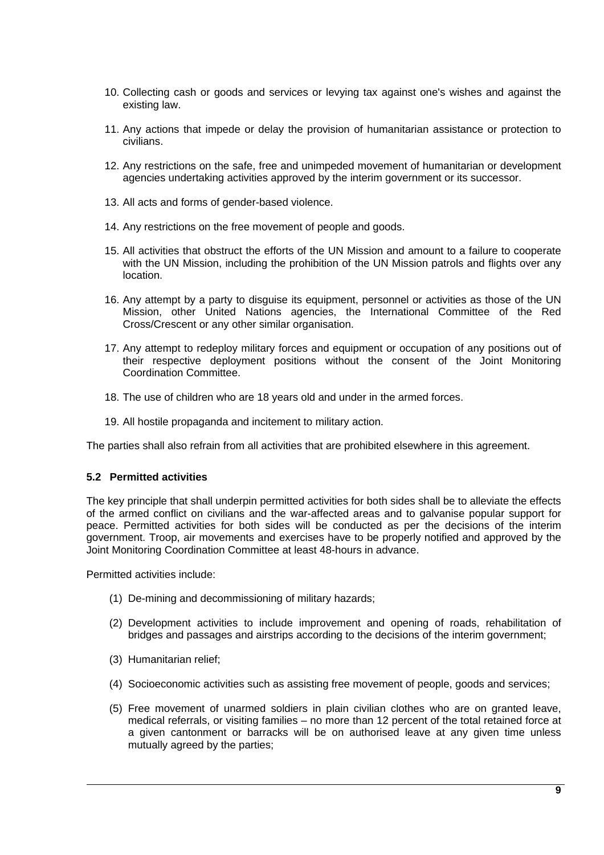- 10. Collecting cash or goods and services or levying tax against one's wishes and against the existing law.
- 11. Any actions that impede or delay the provision of humanitarian assistance or protection to civilians.
- 12. Any restrictions on the safe, free and unimpeded movement of humanitarian or development agencies undertaking activities approved by the interim government or its successor.
- 13. All acts and forms of gender-based violence.
- 14. Any restrictions on the free movement of people and goods.
- 15. All activities that obstruct the efforts of the UN Mission and amount to a failure to cooperate with the UN Mission, including the prohibition of the UN Mission patrols and flights over any location.
- 16. Any attempt by a party to disguise its equipment, personnel or activities as those of the UN Mission, other United Nations agencies, the International Committee of the Red Cross/Crescent or any other similar organisation.
- 17. Any attempt to redeploy military forces and equipment or occupation of any positions out of their respective deployment positions without the consent of the Joint Monitoring Coordination Committee.
- 18. The use of children who are 18 years old and under in the armed forces.
- 19. All hostile propaganda and incitement to military action.

The parties shall also refrain from all activities that are prohibited elsewhere in this agreement.

### **5.2 Permitted activities**

The key principle that shall underpin permitted activities for both sides shall be to alleviate the effects of the armed conflict on civilians and the war-affected areas and to galvanise popular support for peace. Permitted activities for both sides will be conducted as per the decisions of the interim government. Troop, air movements and exercises have to be properly notified and approved by the Joint Monitoring Coordination Committee at least 48-hours in advance.

Permitted activities include:

- (1) De-mining and decommissioning of military hazards;
- (2) Development activities to include improvement and opening of roads, rehabilitation of bridges and passages and airstrips according to the decisions of the interim government;
- (3) Humanitarian relief;
- (4) Socioeconomic activities such as assisting free movement of people, goods and services;
- (5) Free movement of unarmed soldiers in plain civilian clothes who are on granted leave, medical referrals, or visiting families – no more than 12 percent of the total retained force at a given cantonment or barracks will be on authorised leave at any given time unless mutually agreed by the parties;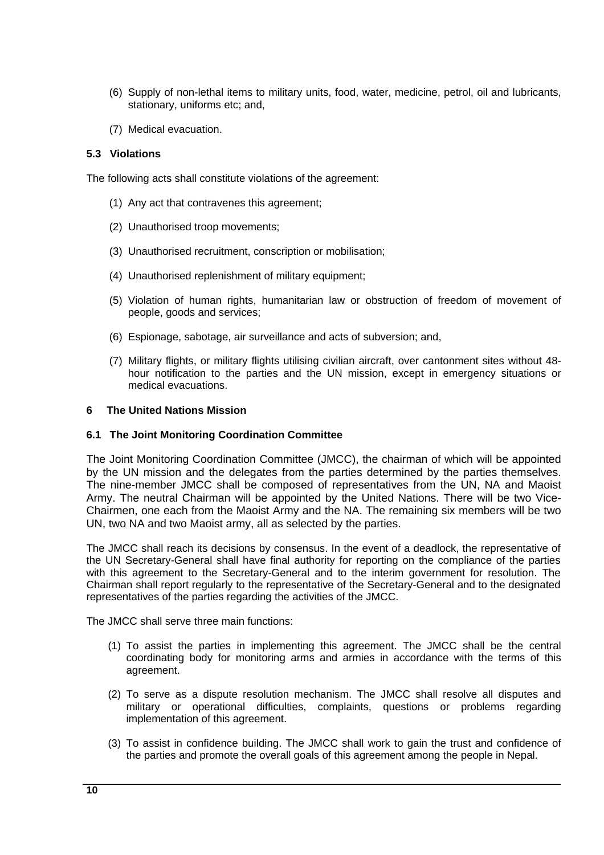- (6) Supply of non-lethal items to military units, food, water, medicine, petrol, oil and lubricants, stationary, uniforms etc; and,
- (7) Medical evacuation.

## **5.3 Violations**

The following acts shall constitute violations of the agreement:

- (1) Any act that contravenes this agreement;
- (2) Unauthorised troop movements;
- (3) Unauthorised recruitment, conscription or mobilisation;
- (4) Unauthorised replenishment of military equipment;
- (5) Violation of human rights, humanitarian law or obstruction of freedom of movement of people, goods and services;
- (6) Espionage, sabotage, air surveillance and acts of subversion; and,
- (7) Military flights, or military flights utilising civilian aircraft, over cantonment sites without 48 hour notification to the parties and the UN mission, except in emergency situations or medical evacuations.

## **6 The United Nations Mission**

### **6.1 The Joint Monitoring Coordination Committee**

The Joint Monitoring Coordination Committee (JMCC), the chairman of which will be appointed by the UN mission and the delegates from the parties determined by the parties themselves. The nine-member JMCC shall be composed of representatives from the UN, NA and Maoist Army. The neutral Chairman will be appointed by the United Nations. There will be two Vice-Chairmen, one each from the Maoist Army and the NA. The remaining six members will be two UN, two NA and two Maoist army, all as selected by the parties.

The JMCC shall reach its decisions by consensus. In the event of a deadlock, the representative of the UN Secretary-General shall have final authority for reporting on the compliance of the parties with this agreement to the Secretary-General and to the interim government for resolution. The Chairman shall report regularly to the representative of the Secretary-General and to the designated representatives of the parties regarding the activities of the JMCC.

The JMCC shall serve three main functions:

- (1) To assist the parties in implementing this agreement. The JMCC shall be the central coordinating body for monitoring arms and armies in accordance with the terms of this agreement.
- (2) To serve as a dispute resolution mechanism. The JMCC shall resolve all disputes and military or operational difficulties, complaints, questions or problems regarding implementation of this agreement.
- (3) To assist in confidence building. The JMCC shall work to gain the trust and confidence of the parties and promote the overall goals of this agreement among the people in Nepal.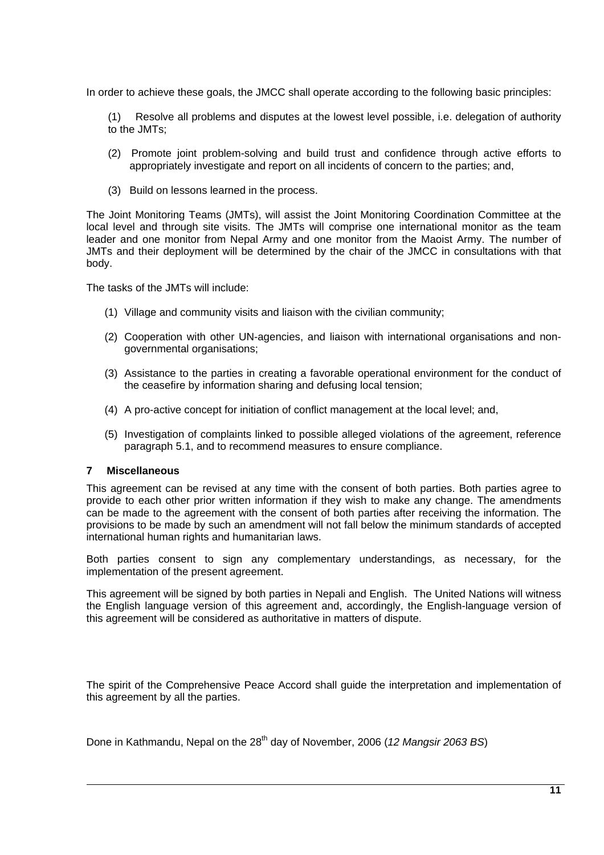In order to achieve these goals, the JMCC shall operate according to the following basic principles:

(1) Resolve all problems and disputes at the lowest level possible, i.e. delegation of authority to the JMTs;

- (2) Promote joint problem-solving and build trust and confidence through active efforts to appropriately investigate and report on all incidents of concern to the parties; and,
- (3) Build on lessons learned in the process.

The Joint Monitoring Teams (JMTs), will assist the Joint Monitoring Coordination Committee at the local level and through site visits. The JMTs will comprise one international monitor as the team leader and one monitor from Nepal Army and one monitor from the Maoist Army. The number of JMTs and their deployment will be determined by the chair of the JMCC in consultations with that body.

The tasks of the JMTs will include:

- (1) Village and community visits and liaison with the civilian community;
- (2) Cooperation with other UN-agencies, and liaison with international organisations and nongovernmental organisations;
- (3) Assistance to the parties in creating a favorable operational environment for the conduct of the ceasefire by information sharing and defusing local tension;
- (4) A pro-active concept for initiation of conflict management at the local level; and,
- (5) Investigation of complaints linked to possible alleged violations of the agreement, reference paragraph 5.1, and to recommend measures to ensure compliance.

### **7 Miscellaneous**

This agreement can be revised at any time with the consent of both parties. Both parties agree to provide to each other prior written information if they wish to make any change. The amendments can be made to the agreement with the consent of both parties after receiving the information. The provisions to be made by such an amendment will not fall below the minimum standards of accepted international human rights and humanitarian laws.

Both parties consent to sign any complementary understandings, as necessary, for the implementation of the present agreement.

This agreement will be signed by both parties in Nepali and English. The United Nations will witness the English language version of this agreement and, accordingly, the English-language version of this agreement will be considered as authoritative in matters of dispute.

The spirit of the Comprehensive Peace Accord shall guide the interpretation and implementation of this agreement by all the parties.

Done in Kathmandu, Nepal on the 28<sup>th</sup> day of November, 2006 (12 Mangsir 2063 BS)